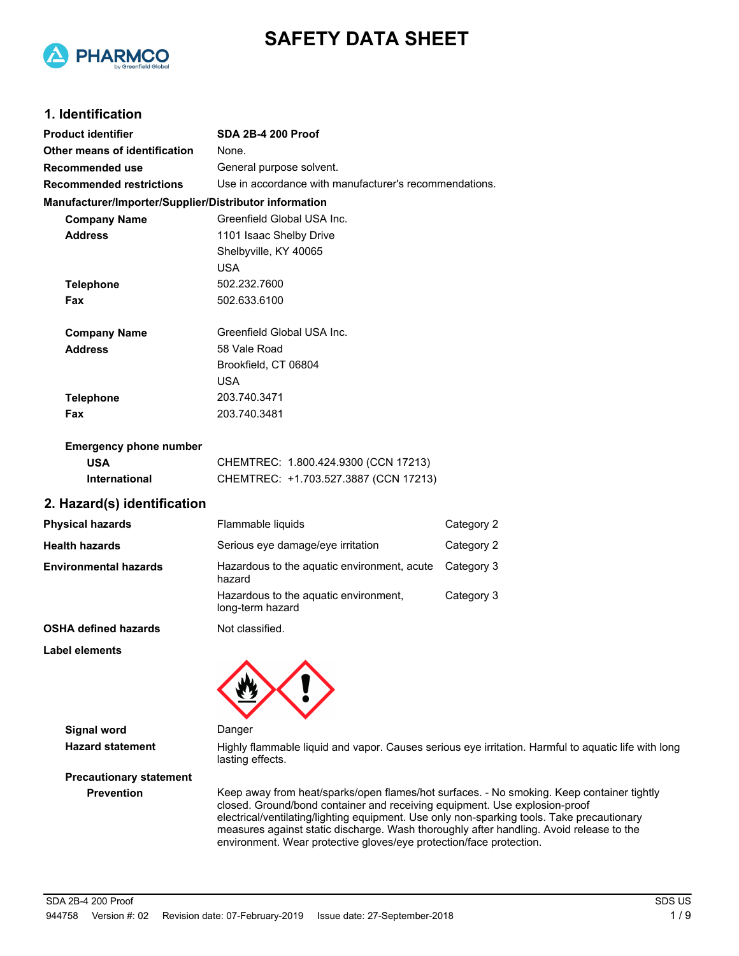



# **1. Identification**

| <b>Product identifier</b>                              | <b>SDA 2B-4 200 Proof</b>                              |            |
|--------------------------------------------------------|--------------------------------------------------------|------------|
| Other means of identification                          | None.                                                  |            |
| <b>Recommended use</b>                                 | General purpose solvent.                               |            |
| <b>Recommended restrictions</b>                        | Use in accordance with manufacturer's recommendations. |            |
| Manufacturer/Importer/Supplier/Distributor information |                                                        |            |
| <b>Company Name</b>                                    | Greenfield Global USA Inc.                             |            |
| <b>Address</b>                                         | 1101 Isaac Shelby Drive                                |            |
|                                                        | Shelbyville, KY 40065                                  |            |
|                                                        | <b>USA</b>                                             |            |
| <b>Telephone</b>                                       | 502.232.7600                                           |            |
| Fax                                                    | 502.633.6100                                           |            |
|                                                        |                                                        |            |
| <b>Company Name</b>                                    | Greenfield Global USA Inc.                             |            |
| <b>Address</b>                                         | 58 Vale Road                                           |            |
|                                                        | Brookfield, CT 06804                                   |            |
|                                                        | <b>USA</b>                                             |            |
| <b>Telephone</b>                                       | 203.740.3471                                           |            |
| Fax                                                    | 203.740.3481                                           |            |
|                                                        |                                                        |            |
| <b>Emergency phone number</b>                          |                                                        |            |
| <b>USA</b>                                             | CHEMTREC: 1.800.424.9300 (CCN 17213)                   |            |
| <b>International</b>                                   | CHEMTREC: +1.703.527.3887 (CCN 17213)                  |            |
| 2. Hazard(s) identification                            |                                                        |            |
| <b>Physical hazards</b>                                | Flammable liquids                                      | Category 2 |
| <b>Health hazards</b>                                  | Serious eye damage/eye irritation                      | Category 2 |
| <b>Environmental hazards</b>                           | Hazardous to the aquatic environment, acute<br>hazard  | Category 3 |

long-term hazard

**OSHA defined hazards** Not classified.

**Label elements**

**Signal word** Danger

Hazard statement **Highly flammable liquid and vapor. Causes serious eye irritation. Harmful to aquatic life with long** lasting effects.

Hazardous to the aquatic environment, Category 3

**Precautionary statement**

**Prevention** Keep away from heat/sparks/open flames/hot surfaces. - No smoking. Keep container tightly closed. Ground/bond container and receiving equipment. Use explosion-proof electrical/ventilating/lighting equipment. Use only non-sparking tools. Take precautionary measures against static discharge. Wash thoroughly after handling. Avoid release to the environment. Wear protective gloves/eye protection/face protection.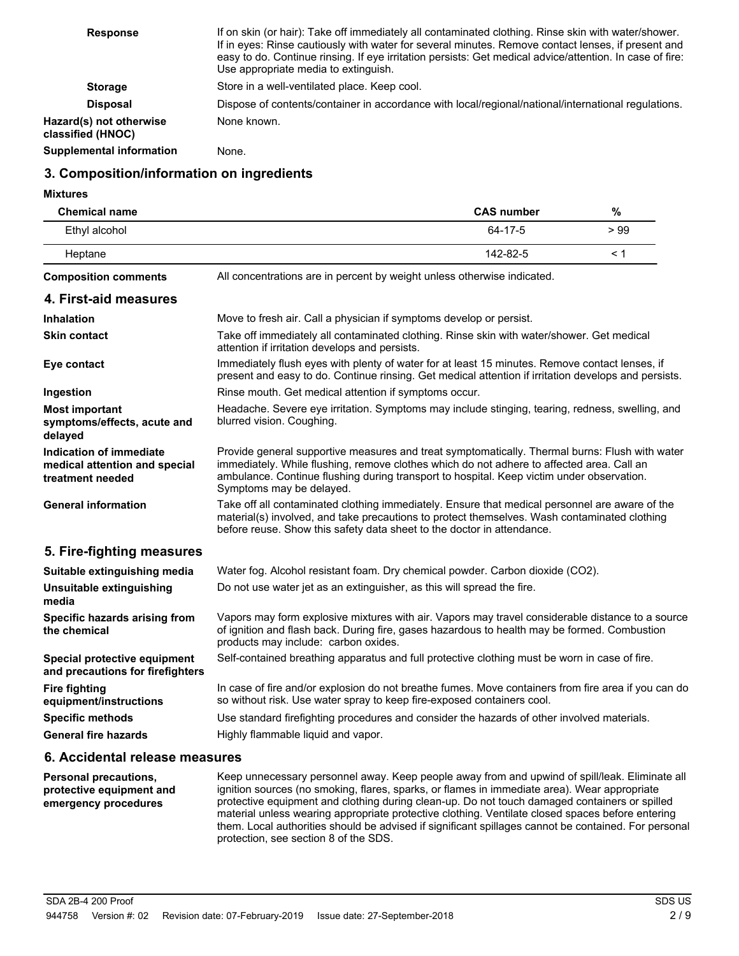| <b>Response</b>                              | If on skin (or hair): Take off immediately all contaminated clothing. Rinse skin with water/shower.<br>If in eyes: Rinse cautiously with water for several minutes. Remove contact lenses, if present and<br>easy to do. Continue rinsing. If eye irritation persists: Get medical advice/attention. In case of fire:<br>Use appropriate media to extinguish. |
|----------------------------------------------|---------------------------------------------------------------------------------------------------------------------------------------------------------------------------------------------------------------------------------------------------------------------------------------------------------------------------------------------------------------|
| <b>Storage</b>                               | Store in a well-ventilated place. Keep cool.                                                                                                                                                                                                                                                                                                                  |
| <b>Disposal</b>                              | Dispose of contents/container in accordance with local/regional/national/international regulations.                                                                                                                                                                                                                                                           |
| Hazard(s) not otherwise<br>classified (HNOC) | None known.                                                                                                                                                                                                                                                                                                                                                   |
| Supplemental information                     | None.                                                                                                                                                                                                                                                                                                                                                         |

## **3. Composition/information on ingredients**

**Mixtures**

| <b>Chemical name</b>                                                         |                                                                                                                                                                                                                                                                                                                      | <b>CAS number</b> | $\%$     |
|------------------------------------------------------------------------------|----------------------------------------------------------------------------------------------------------------------------------------------------------------------------------------------------------------------------------------------------------------------------------------------------------------------|-------------------|----------|
| Ethyl alcohol                                                                |                                                                                                                                                                                                                                                                                                                      | 64-17-5           | >99      |
| Heptane                                                                      |                                                                                                                                                                                                                                                                                                                      | 142-82-5          | $\leq 1$ |
| <b>Composition comments</b>                                                  | All concentrations are in percent by weight unless otherwise indicated.                                                                                                                                                                                                                                              |                   |          |
| 4. First-aid measures                                                        |                                                                                                                                                                                                                                                                                                                      |                   |          |
| <b>Inhalation</b>                                                            | Move to fresh air. Call a physician if symptoms develop or persist.                                                                                                                                                                                                                                                  |                   |          |
| <b>Skin contact</b>                                                          | Take off immediately all contaminated clothing. Rinse skin with water/shower. Get medical<br>attention if irritation develops and persists.                                                                                                                                                                          |                   |          |
| Eye contact                                                                  | Immediately flush eyes with plenty of water for at least 15 minutes. Remove contact lenses, if<br>present and easy to do. Continue rinsing. Get medical attention if irritation develops and persists.                                                                                                               |                   |          |
| Ingestion                                                                    | Rinse mouth. Get medical attention if symptoms occur.                                                                                                                                                                                                                                                                |                   |          |
| <b>Most important</b><br>symptoms/effects, acute and<br>delayed              | Headache. Severe eye irritation. Symptoms may include stinging, tearing, redness, swelling, and<br>blurred vision. Coughing.                                                                                                                                                                                         |                   |          |
| Indication of immediate<br>medical attention and special<br>treatment needed | Provide general supportive measures and treat symptomatically. Thermal burns: Flush with water<br>immediately. While flushing, remove clothes which do not adhere to affected area. Call an<br>ambulance. Continue flushing during transport to hospital. Keep victim under observation.<br>Symptoms may be delayed. |                   |          |
| <b>General information</b>                                                   | Take off all contaminated clothing immediately. Ensure that medical personnel are aware of the<br>material(s) involved, and take precautions to protect themselves. Wash contaminated clothing<br>before reuse. Show this safety data sheet to the doctor in attendance.                                             |                   |          |
| 5. Fire-fighting measures                                                    |                                                                                                                                                                                                                                                                                                                      |                   |          |
| Suitable extinguishing media                                                 | Water fog. Alcohol resistant foam. Dry chemical powder. Carbon dioxide (CO2).                                                                                                                                                                                                                                        |                   |          |
| Unsuitable extinguishing<br>media                                            | Do not use water jet as an extinguisher, as this will spread the fire.                                                                                                                                                                                                                                               |                   |          |
| Specific hazards arising from<br>the chemical                                | Vapors may form explosive mixtures with air. Vapors may travel considerable distance to a source<br>of ignition and flash back. During fire, gases hazardous to health may be formed. Combustion<br>products may include: carbon oxides.                                                                             |                   |          |
| Special protective equipment<br>and precautions for firefighters             | Self-contained breathing apparatus and full protective clothing must be worn in case of fire.                                                                                                                                                                                                                        |                   |          |
| <b>Fire fighting</b><br>equipment/instructions                               | In case of fire and/or explosion do not breathe fumes. Move containers from fire area if you can do<br>so without risk. Use water spray to keep fire-exposed containers cool.                                                                                                                                        |                   |          |
| <b>Specific methods</b>                                                      | Use standard firefighting procedures and consider the hazards of other involved materials.                                                                                                                                                                                                                           |                   |          |
| <b>General fire hazards</b>                                                  | Highly flammable liquid and vapor.                                                                                                                                                                                                                                                                                   |                   |          |
| 6. Accidental release measures                                               |                                                                                                                                                                                                                                                                                                                      |                   |          |

#### Keep unnecessary personnel away. Keep people away from and upwind of spill/leak. Eliminate all ignition sources (no smoking, flares, sparks, or flames in immediate area). Wear appropriate protective equipment and clothing during clean-up. Do not touch damaged containers or spilled material unless wearing appropriate protective clothing. Ventilate closed spaces before entering them. Local authorities should be advised if significant spillages cannot be contained. For personal protection, see section 8 of the SDS. **Personal precautions, protective equipment and emergency procedures**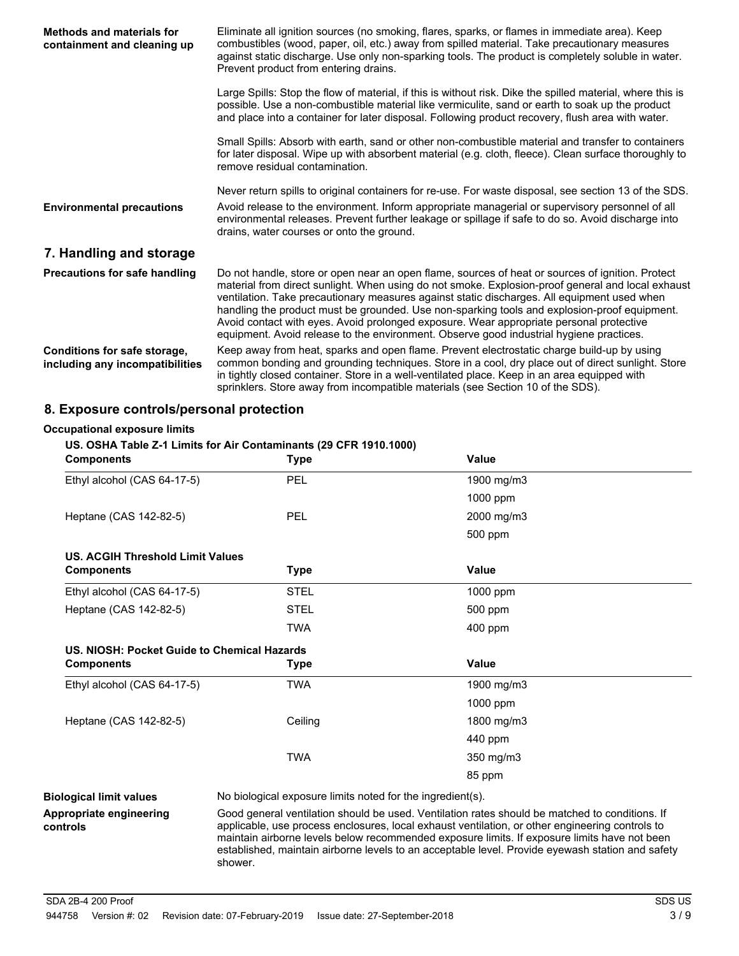| Methods and materials for<br>containment and cleaning up        | Eliminate all ignition sources (no smoking, flares, sparks, or flames in immediate area). Keep<br>combustibles (wood, paper, oil, etc.) away from spilled material. Take precautionary measures<br>against static discharge. Use only non-sparking tools. The product is completely soluble in water.<br>Prevent product from entering drains.                                                                                                                                                                                                                                             |  |
|-----------------------------------------------------------------|--------------------------------------------------------------------------------------------------------------------------------------------------------------------------------------------------------------------------------------------------------------------------------------------------------------------------------------------------------------------------------------------------------------------------------------------------------------------------------------------------------------------------------------------------------------------------------------------|--|
|                                                                 | Large Spills: Stop the flow of material, if this is without risk. Dike the spilled material, where this is<br>possible. Use a non-combustible material like vermiculite, sand or earth to soak up the product<br>and place into a container for later disposal. Following product recovery, flush area with water.                                                                                                                                                                                                                                                                         |  |
|                                                                 | Small Spills: Absorb with earth, sand or other non-combustible material and transfer to containers<br>for later disposal. Wipe up with absorbent material (e.g. cloth, fleece). Clean surface thoroughly to<br>remove residual contamination.                                                                                                                                                                                                                                                                                                                                              |  |
|                                                                 | Never return spills to original containers for re-use. For waste disposal, see section 13 of the SDS.                                                                                                                                                                                                                                                                                                                                                                                                                                                                                      |  |
| <b>Environmental precautions</b>                                | Avoid release to the environment. Inform appropriate managerial or supervisory personnel of all<br>environmental releases. Prevent further leakage or spillage if safe to do so. Avoid discharge into<br>drains, water courses or onto the ground.                                                                                                                                                                                                                                                                                                                                         |  |
| 7. Handling and storage                                         |                                                                                                                                                                                                                                                                                                                                                                                                                                                                                                                                                                                            |  |
| <b>Precautions for safe handling</b>                            | Do not handle, store or open near an open flame, sources of heat or sources of ignition. Protect<br>material from direct sunlight. When using do not smoke. Explosion-proof general and local exhaust<br>ventilation. Take precautionary measures against static discharges. All equipment used when<br>handling the product must be grounded. Use non-sparking tools and explosion-proof equipment.<br>Avoid contact with eyes. Avoid prolonged exposure. Wear appropriate personal protective<br>equipment. Avoid release to the environment. Observe good industrial hygiene practices. |  |
| Conditions for safe storage,<br>including any incompatibilities | Keep away from heat, sparks and open flame. Prevent electrostatic charge build-up by using<br>common bonding and grounding techniques. Store in a cool, dry place out of direct sunlight. Store<br>in tightly closed container. Store in a well-ventilated place. Keep in an area equipped with<br>sprinklers. Store away from incompatible materials (see Section 10 of the SDS).                                                                                                                                                                                                         |  |

# **8. Exposure controls/personal protection**

### **Occupational exposure limits**

**US. OSHA Table Z-1 Limits for Air Contaminants (29 CFR 1910.1000)**

| <b>Components</b>                                                | <b>Type</b>                                                                                                                                                                                                                                                                                                                                                                                                      | Value                                                      |  |
|------------------------------------------------------------------|------------------------------------------------------------------------------------------------------------------------------------------------------------------------------------------------------------------------------------------------------------------------------------------------------------------------------------------------------------------------------------------------------------------|------------------------------------------------------------|--|
| Ethyl alcohol (CAS 64-17-5)                                      | <b>PEL</b>                                                                                                                                                                                                                                                                                                                                                                                                       | 1900 mg/m3                                                 |  |
|                                                                  |                                                                                                                                                                                                                                                                                                                                                                                                                  | 1000 ppm                                                   |  |
| Heptane (CAS 142-82-5)                                           | <b>PEL</b>                                                                                                                                                                                                                                                                                                                                                                                                       | 2000 mg/m3                                                 |  |
|                                                                  |                                                                                                                                                                                                                                                                                                                                                                                                                  | 500 ppm                                                    |  |
| <b>US. ACGIH Threshold Limit Values</b>                          |                                                                                                                                                                                                                                                                                                                                                                                                                  |                                                            |  |
| <b>Components</b>                                                | <b>Type</b>                                                                                                                                                                                                                                                                                                                                                                                                      | Value                                                      |  |
| Ethyl alcohol (CAS 64-17-5)                                      | <b>STEL</b>                                                                                                                                                                                                                                                                                                                                                                                                      | 1000 ppm                                                   |  |
| Heptane (CAS 142-82-5)                                           | <b>STEL</b>                                                                                                                                                                                                                                                                                                                                                                                                      | 500 ppm                                                    |  |
|                                                                  | <b>TWA</b>                                                                                                                                                                                                                                                                                                                                                                                                       | 400 ppm                                                    |  |
| US. NIOSH: Pocket Guide to Chemical Hazards<br><b>Components</b> | Type                                                                                                                                                                                                                                                                                                                                                                                                             | Value                                                      |  |
| Ethyl alcohol (CAS 64-17-5)                                      | <b>TWA</b>                                                                                                                                                                                                                                                                                                                                                                                                       | 1900 mg/m3                                                 |  |
|                                                                  |                                                                                                                                                                                                                                                                                                                                                                                                                  | 1000 ppm                                                   |  |
| Heptane (CAS 142-82-5)                                           | Ceiling                                                                                                                                                                                                                                                                                                                                                                                                          | 1800 mg/m3                                                 |  |
|                                                                  |                                                                                                                                                                                                                                                                                                                                                                                                                  | 440 ppm                                                    |  |
|                                                                  | <b>TWA</b>                                                                                                                                                                                                                                                                                                                                                                                                       | 350 mg/m3                                                  |  |
|                                                                  |                                                                                                                                                                                                                                                                                                                                                                                                                  | 85 ppm                                                     |  |
| <b>Biological limit values</b>                                   |                                                                                                                                                                                                                                                                                                                                                                                                                  | No biological exposure limits noted for the ingredient(s). |  |
| Appropriate engineering<br>controls                              | Good general ventilation should be used. Ventilation rates should be matched to conditions. If<br>applicable, use process enclosures, local exhaust ventilation, or other engineering controls to<br>maintain airborne levels below recommended exposure limits. If exposure limits have not been<br>established, maintain airborne levels to an acceptable level. Provide eyewash station and safety<br>shower. |                                                            |  |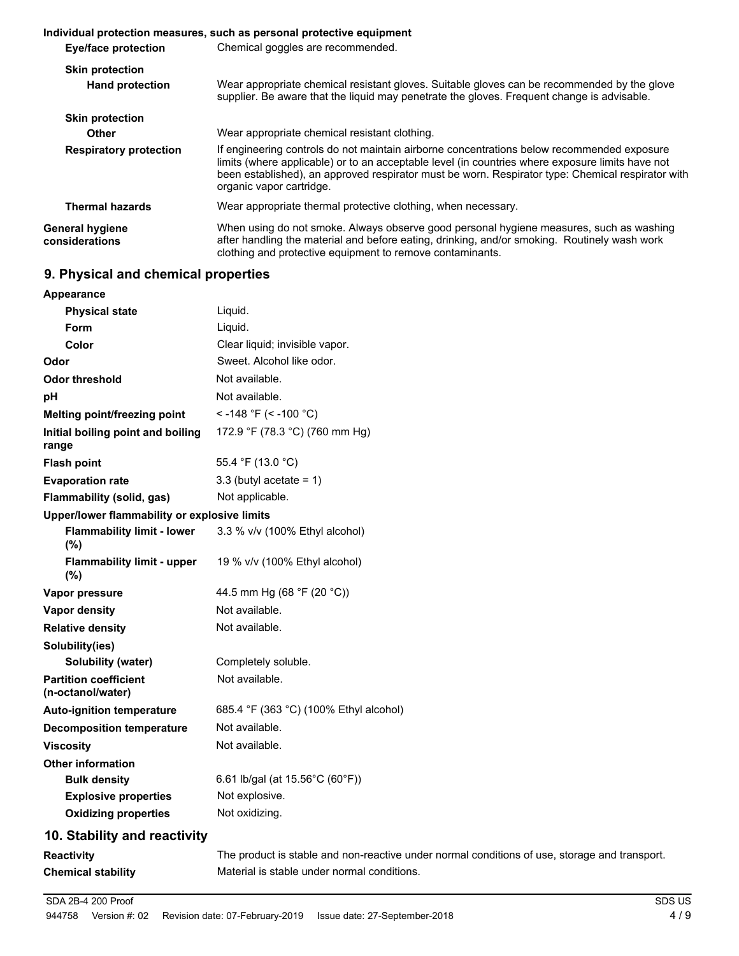#### **Individual protection measures, such as personal protective equipment Eye/face protection** Chemical goggles are recommended. **Skin protection** Wear appropriate chemical resistant gloves. Suitable gloves can be recommended by the glove supplier. Be aware that the liquid may penetrate the gloves. Frequent change is advisable. **Hand protection Skin protection Other** Wear appropriate chemical resistant clothing. If engineering controls do not maintain airborne concentrations below recommended exposure limits (where applicable) or to an acceptable level (in countries where exposure limits have not been established), an approved respirator must be worn. Respirator type: Chemical respirator with organic vapor cartridge. **Respiratory protection Thermal hazards** Wear appropriate thermal protective clothing, when necessary. When using do not smoke. Always observe good personal hygiene measures, such as washing after handling the material and before eating, drinking, and/or smoking. Routinely wash work clothing and protective equipment to remove contaminants. **General hygiene considerations**

# **9. Physical and chemical properties**

| <b>Appearance</b>                                 |                                                                                          |
|---------------------------------------------------|------------------------------------------------------------------------------------------|
| <b>Physical state</b>                             | Liquid.                                                                                  |
| <b>Form</b>                                       | Liquid.                                                                                  |
| Color                                             | Clear liquid; invisible vapor.                                                           |
| Odor                                              | Sweet. Alcohol like odor.                                                                |
| <b>Odor threshold</b>                             | Not available.                                                                           |
| pH                                                | Not available.                                                                           |
| Melting point/freezing point                      | < -148 °F (< -100 °C)                                                                    |
| Initial boiling point and boiling<br>range        | 172.9 °F (78.3 °C) (760 mm Hg)                                                           |
| <b>Flash point</b>                                | 55.4 °F (13.0 °C)                                                                        |
| <b>Evaporation rate</b>                           | 3.3 (butyl acetate = $1$ )                                                               |
| Flammability (solid, gas)                         | Not applicable.                                                                          |
| Upper/lower flammability or explosive limits      |                                                                                          |
| <b>Flammability limit - lower</b><br>(%)          | 3.3 % v/v (100% Ethyl alcohol)                                                           |
| <b>Flammability limit - upper</b><br>(%)          | 19 % v/v (100% Ethyl alcohol)                                                            |
| Vapor pressure                                    | 44.5 mm Hg (68 °F (20 °C))                                                               |
| <b>Vapor density</b>                              | Not available.                                                                           |
| <b>Relative density</b>                           | Not available.                                                                           |
| Solubility(ies)                                   |                                                                                          |
| <b>Solubility (water)</b>                         | Completely soluble.                                                                      |
| <b>Partition coefficient</b><br>(n-octanol/water) | Not available.                                                                           |
| <b>Auto-ignition temperature</b>                  | 685.4 °F (363 °C) (100% Ethyl alcohol)                                                   |
| <b>Decomposition temperature</b>                  | Not available.                                                                           |
| <b>Viscosity</b>                                  | Not available.                                                                           |
| <b>Other information</b>                          |                                                                                          |
| <b>Bulk density</b>                               | 6.61 lb/gal (at 15.56°C (60°F))                                                          |
| <b>Explosive properties</b>                       | Not explosive.                                                                           |
| <b>Oxidizing properties</b>                       | Not oxidizing.                                                                           |
| 10. Stability and reactivity                      |                                                                                          |
| <b>Reactivity</b>                                 | The product is stable and non-reactive under normal conditions of use storage and transr |

**Reactivity** The product is stable and non-reactive under normal conditions of use, storage and transport. **Chemical stability** Material is stable under normal conditions.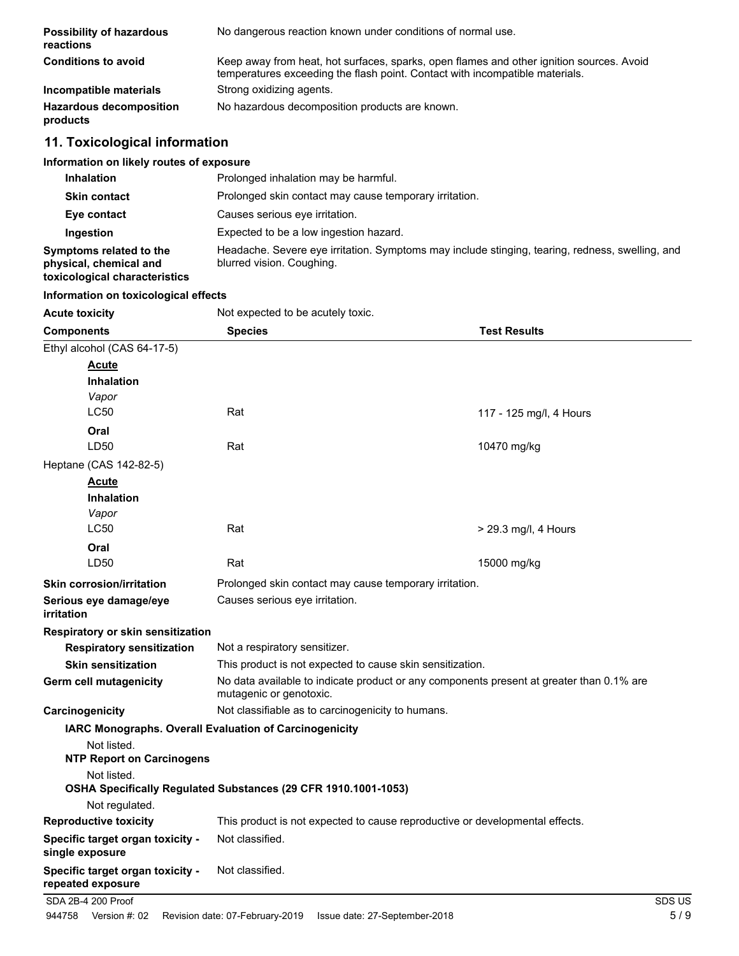| <b>Possibility of hazardous</b><br>reactions | No dangerous reaction known under conditions of normal use.                                                                                                              |
|----------------------------------------------|--------------------------------------------------------------------------------------------------------------------------------------------------------------------------|
| <b>Conditions to avoid</b>                   | Keep away from heat, hot surfaces, sparks, open flames and other ignition sources. Avoid<br>temperatures exceeding the flash point. Contact with incompatible materials. |
| Incompatible materials                       | Strong oxidizing agents.                                                                                                                                                 |
| <b>Hazardous decomposition</b><br>products   | No hazardous decomposition products are known.                                                                                                                           |

# **11. Toxicological information**

| Information on likely routes of exposure                                           |                                                                                                                              |
|------------------------------------------------------------------------------------|------------------------------------------------------------------------------------------------------------------------------|
| <b>Inhalation</b>                                                                  | Prolonged inhalation may be harmful.                                                                                         |
| <b>Skin contact</b>                                                                | Prolonged skin contact may cause temporary irritation.                                                                       |
| Eye contact                                                                        | Causes serious eye irritation.                                                                                               |
| Ingestion                                                                          | Expected to be a low ingestion hazard.                                                                                       |
| Symptoms related to the<br>physical, chemical and<br>toxicological characteristics | Headache. Severe eye irritation. Symptoms may include stinging, tearing, redness, swelling, and<br>blurred vision. Coughing. |

### **Information on toxicological effects**

| <b>Acute toxicity</b>                                         | Not expected to be acutely toxic.                                                                                   |                         |
|---------------------------------------------------------------|---------------------------------------------------------------------------------------------------------------------|-------------------------|
| <b>Components</b>                                             | <b>Species</b>                                                                                                      | <b>Test Results</b>     |
| Ethyl alcohol (CAS 64-17-5)                                   |                                                                                                                     |                         |
| <u>Acute</u>                                                  |                                                                                                                     |                         |
| <b>Inhalation</b>                                             |                                                                                                                     |                         |
| Vapor                                                         |                                                                                                                     |                         |
| <b>LC50</b>                                                   | Rat                                                                                                                 | 117 - 125 mg/l, 4 Hours |
| Oral                                                          |                                                                                                                     |                         |
| LD50                                                          | Rat                                                                                                                 | 10470 mg/kg             |
| Heptane (CAS 142-82-5)                                        |                                                                                                                     |                         |
| <b>Acute</b>                                                  |                                                                                                                     |                         |
| <b>Inhalation</b><br>Vapor                                    |                                                                                                                     |                         |
| LC50                                                          | Rat                                                                                                                 | > 29.3 mg/l, 4 Hours    |
| Oral                                                          |                                                                                                                     |                         |
| LD50                                                          | Rat                                                                                                                 | 15000 mg/kg             |
| <b>Skin corrosion/irritation</b>                              | Prolonged skin contact may cause temporary irritation.                                                              |                         |
| Serious eye damage/eye<br>irritation                          | Causes serious eye irritation.                                                                                      |                         |
| Respiratory or skin sensitization                             |                                                                                                                     |                         |
| <b>Respiratory sensitization</b>                              | Not a respiratory sensitizer.                                                                                       |                         |
| <b>Skin sensitization</b>                                     | This product is not expected to cause skin sensitization.                                                           |                         |
| Germ cell mutagenicity                                        | No data available to indicate product or any components present at greater than 0.1% are<br>mutagenic or genotoxic. |                         |
| Carcinogenicity                                               | Not classifiable as to carcinogenicity to humans.                                                                   |                         |
| <b>IARC Monographs. Overall Evaluation of Carcinogenicity</b> |                                                                                                                     |                         |
| Not listed.                                                   |                                                                                                                     |                         |
| <b>NTP Report on Carcinogens</b>                              |                                                                                                                     |                         |
| Not listed.                                                   | OSHA Specifically Regulated Substances (29 CFR 1910.1001-1053)                                                      |                         |
| Not regulated.                                                |                                                                                                                     |                         |
| <b>Reproductive toxicity</b>                                  | This product is not expected to cause reproductive or developmental effects.                                        |                         |
| Specific target organ toxicity -                              | Not classified.                                                                                                     |                         |
| single exposure                                               |                                                                                                                     |                         |
| Specific target organ toxicity -<br>repeated exposure         | Not classified.                                                                                                     |                         |

SDA 2B-4 200 Proof SDS US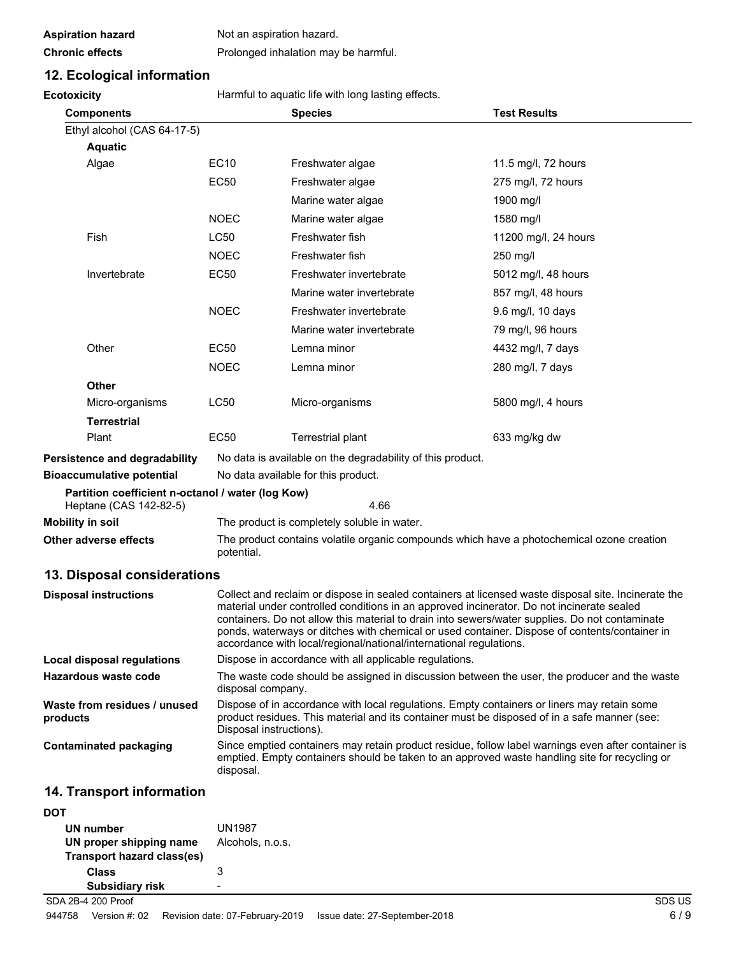| <b>Aspiration hazard</b> | Not an aspiration hazard.            |
|--------------------------|--------------------------------------|
| <b>Chronic effects</b>   | Prolonged inhalation may be harmful. |

# **12. Ecological information**

| Ecotoxicity                                       | Harmful to aquatic life with long lasting effects.                                                                                                                                                                                                                                                                                                                                                                                                                        |                                                                                                                   |                      |  |
|---------------------------------------------------|---------------------------------------------------------------------------------------------------------------------------------------------------------------------------------------------------------------------------------------------------------------------------------------------------------------------------------------------------------------------------------------------------------------------------------------------------------------------------|-------------------------------------------------------------------------------------------------------------------|----------------------|--|
| <b>Components</b>                                 |                                                                                                                                                                                                                                                                                                                                                                                                                                                                           | <b>Species</b>                                                                                                    | <b>Test Results</b>  |  |
| Ethyl alcohol (CAS 64-17-5)                       |                                                                                                                                                                                                                                                                                                                                                                                                                                                                           |                                                                                                                   |                      |  |
| <b>Aquatic</b>                                    |                                                                                                                                                                                                                                                                                                                                                                                                                                                                           |                                                                                                                   |                      |  |
| Algae                                             | EC10                                                                                                                                                                                                                                                                                                                                                                                                                                                                      | Freshwater algae                                                                                                  | 11.5 mg/l, 72 hours  |  |
|                                                   | <b>EC50</b>                                                                                                                                                                                                                                                                                                                                                                                                                                                               | Freshwater algae                                                                                                  | 275 mg/l, 72 hours   |  |
|                                                   |                                                                                                                                                                                                                                                                                                                                                                                                                                                                           | Marine water algae                                                                                                | 1900 mg/l            |  |
|                                                   | <b>NOEC</b>                                                                                                                                                                                                                                                                                                                                                                                                                                                               | Marine water algae                                                                                                | 1580 mg/l            |  |
| Fish                                              | <b>LC50</b>                                                                                                                                                                                                                                                                                                                                                                                                                                                               | Freshwater fish                                                                                                   | 11200 mg/l, 24 hours |  |
|                                                   | <b>NOEC</b>                                                                                                                                                                                                                                                                                                                                                                                                                                                               | Freshwater fish                                                                                                   | 250 mg/l             |  |
| Invertebrate                                      | <b>EC50</b>                                                                                                                                                                                                                                                                                                                                                                                                                                                               | Freshwater invertebrate                                                                                           | 5012 mg/l, 48 hours  |  |
|                                                   |                                                                                                                                                                                                                                                                                                                                                                                                                                                                           | Marine water invertebrate                                                                                         | 857 mg/l, 48 hours   |  |
|                                                   | <b>NOEC</b>                                                                                                                                                                                                                                                                                                                                                                                                                                                               | Freshwater invertebrate                                                                                           | 9.6 mg/l, 10 days    |  |
|                                                   |                                                                                                                                                                                                                                                                                                                                                                                                                                                                           | Marine water invertebrate                                                                                         | 79 mg/l, 96 hours    |  |
| Other                                             | <b>EC50</b>                                                                                                                                                                                                                                                                                                                                                                                                                                                               | Lemna minor                                                                                                       | 4432 mg/l, 7 days    |  |
|                                                   | <b>NOEC</b>                                                                                                                                                                                                                                                                                                                                                                                                                                                               | Lemna minor                                                                                                       | 280 mg/l, 7 days     |  |
| <b>Other</b>                                      |                                                                                                                                                                                                                                                                                                                                                                                                                                                                           |                                                                                                                   |                      |  |
| Micro-organisms                                   | LC50                                                                                                                                                                                                                                                                                                                                                                                                                                                                      | Micro-organisms                                                                                                   | 5800 mg/l, 4 hours   |  |
| <b>Terrestrial</b>                                |                                                                                                                                                                                                                                                                                                                                                                                                                                                                           |                                                                                                                   |                      |  |
| Plant                                             | <b>EC50</b>                                                                                                                                                                                                                                                                                                                                                                                                                                                               | Terrestrial plant                                                                                                 | 633 mg/kg dw         |  |
| Persistence and degradability                     | No data is available on the degradability of this product.                                                                                                                                                                                                                                                                                                                                                                                                                |                                                                                                                   |                      |  |
| <b>Bioaccumulative potential</b>                  |                                                                                                                                                                                                                                                                                                                                                                                                                                                                           | No data available for this product.                                                                               |                      |  |
| Partition coefficient n-octanol / water (log Kow) |                                                                                                                                                                                                                                                                                                                                                                                                                                                                           |                                                                                                                   |                      |  |
| Heptane (CAS 142-82-5)                            |                                                                                                                                                                                                                                                                                                                                                                                                                                                                           | 4.66                                                                                                              |                      |  |
| <b>Mobility in soil</b>                           | The product is completely soluble in water.                                                                                                                                                                                                                                                                                                                                                                                                                               |                                                                                                                   |                      |  |
| Other adverse effects                             | The product contains volatile organic compounds which have a photochemical ozone creation<br>potential.                                                                                                                                                                                                                                                                                                                                                                   |                                                                                                                   |                      |  |
| 13. Disposal considerations                       |                                                                                                                                                                                                                                                                                                                                                                                                                                                                           |                                                                                                                   |                      |  |
| <b>Disposal instructions</b>                      | Collect and reclaim or dispose in sealed containers at licensed waste disposal site. Incinerate the<br>material under controlled conditions in an approved incinerator. Do not incinerate sealed<br>containers. Do not allow this material to drain into sewers/water supplies. Do not contaminate<br>ponds, waterways or ditches with chemical or used container. Dispose of contents/container in<br>accordance with local/regional/national/international regulations. |                                                                                                                   |                      |  |
| <b>Local disposal regulations</b>                 |                                                                                                                                                                                                                                                                                                                                                                                                                                                                           | Dispose in accordance with all applicable regulations.                                                            |                      |  |
| Hazardous waste code                              |                                                                                                                                                                                                                                                                                                                                                                                                                                                                           | The waste code should be assigned in discussion between the user, the producer and the waste<br>disposal company. |                      |  |
| Waste from residues / unused<br>products          | Dispose of in accordance with local regulations. Empty containers or liners may retain some<br>product residues. This material and its container must be disposed of in a safe manner (see:<br>Disposal instructions).                                                                                                                                                                                                                                                    |                                                                                                                   |                      |  |
| Contaminated packaging                            | Since emptied containers may retain product residue, follow label warnings even after container is<br>emptied. Empty containers should be taken to an approved waste handling site for recycling or<br>disposal.                                                                                                                                                                                                                                                          |                                                                                                                   |                      |  |

# **14. Transport information**

| DOT                                                                       |                                   |        |
|---------------------------------------------------------------------------|-----------------------------------|--------|
| UN number<br>UN proper shipping name<br><b>Transport hazard class(es)</b> | <b>UN1987</b><br>Alcohols, n.o.s. |        |
| <b>Class</b>                                                              |                                   |        |
| <b>Subsidiary risk</b>                                                    | $\overline{\phantom{0}}$          |        |
| SDA 2B-4 200 Proof                                                        |                                   | SDS US |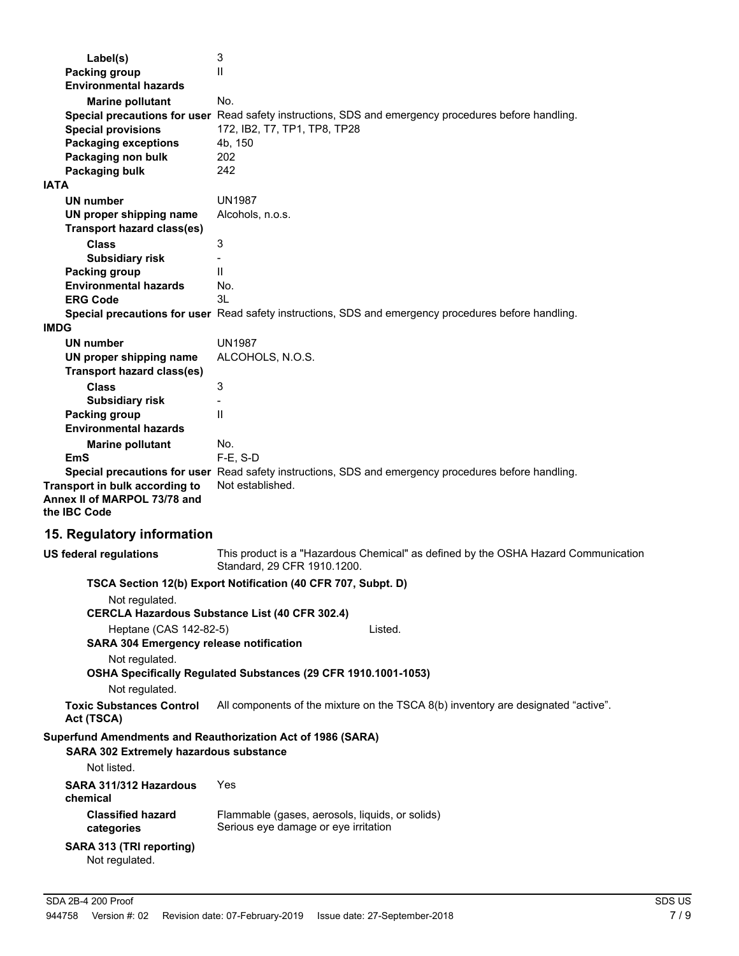|                                                                                | 3                                                                                                                        |
|--------------------------------------------------------------------------------|--------------------------------------------------------------------------------------------------------------------------|
| <b>Packing group</b>                                                           | $\mathsf{II}$                                                                                                            |
| <b>Environmental hazards</b>                                                   |                                                                                                                          |
| <b>Marine pollutant</b>                                                        | No.                                                                                                                      |
|                                                                                | Special precautions for user Read safety instructions, SDS and emergency procedures before handling.                     |
| <b>Special provisions</b>                                                      | 172, IB2, T7, TP1, TP8, TP28                                                                                             |
| <b>Packaging exceptions</b>                                                    | 4b, 150                                                                                                                  |
| Packaging non bulk                                                             | 202                                                                                                                      |
| Packaging bulk<br><b>IATA</b>                                                  | 242                                                                                                                      |
|                                                                                | <b>UN1987</b>                                                                                                            |
| UN number                                                                      | Alcohols, n.o.s.                                                                                                         |
| UN proper shipping name<br><b>Transport hazard class(es)</b>                   |                                                                                                                          |
| <b>Class</b>                                                                   | 3                                                                                                                        |
| <b>Subsidiary risk</b>                                                         |                                                                                                                          |
| <b>Packing group</b>                                                           | $\mathbf{H}$                                                                                                             |
| <b>Environmental hazards</b>                                                   | No.                                                                                                                      |
| <b>ERG Code</b>                                                                | 3L                                                                                                                       |
|                                                                                | Special precautions for user Read safety instructions, SDS and emergency procedures before handling.                     |
| <b>IMDG</b>                                                                    |                                                                                                                          |
| UN number                                                                      | <b>UN1987</b>                                                                                                            |
| UN proper shipping name                                                        | ALCOHOLS, N.O.S.                                                                                                         |
| <b>Transport hazard class(es)</b>                                              |                                                                                                                          |
| <b>Class</b>                                                                   | 3                                                                                                                        |
| <b>Subsidiary risk</b>                                                         |                                                                                                                          |
| <b>Packing group</b>                                                           | $\mathsf{II}$                                                                                                            |
| <b>Environmental hazards</b>                                                   |                                                                                                                          |
| <b>Marine pollutant</b>                                                        | No.                                                                                                                      |
| <b>EmS</b>                                                                     | $F-E$ , S-D                                                                                                              |
| Transport in bulk according to<br>Annex II of MARPOL 73/78 and<br>the IBC Code | Special precautions for user Read safety instructions, SDS and emergency procedures before handling.<br>Not established. |
| 15. Regulatory information                                                     |                                                                                                                          |
| <b>US federal regulations</b>                                                  | This product is a "Hazardous Chemical" as defined by the OSHA Hazard Communication<br>Standard, 29 CFR 1910.1200.        |
|                                                                                | TSCA Section 12(b) Export Notification (40 CFR 707, Subpt. D)                                                            |
| Not regulated.                                                                 |                                                                                                                          |
|                                                                                | <b>CERCLA Hazardous Substance List (40 CFR 302.4)</b>                                                                    |
| Heptane (CAS 142-82-5)                                                         | Listed.                                                                                                                  |
| <b>SARA 304 Emergency release notification</b>                                 |                                                                                                                          |
| Not regulated.                                                                 | OSHA Specifically Regulated Substances (29 CFR 1910.1001-1053)                                                           |
| Not regulated.                                                                 |                                                                                                                          |
| <b>Toxic Substances Control</b><br>Act (TSCA)                                  | All components of the mixture on the TSCA 8(b) inventory are designated "active".                                        |
|                                                                                | Superfund Amendments and Reauthorization Act of 1986 (SARA)                                                              |
| <b>SARA 302 Extremely hazardous substance</b>                                  |                                                                                                                          |
| Not listed.                                                                    |                                                                                                                          |
| SARA 311/312 Hazardous<br>chemical                                             | Yes                                                                                                                      |
| <b>Classified hazard</b><br>categories                                         | Flammable (gases, aerosols, liquids, or solids)<br>Serious eye damage or eye irritation                                  |
| SARA 313 (TRI reporting)<br>Not regulated.                                     |                                                                                                                          |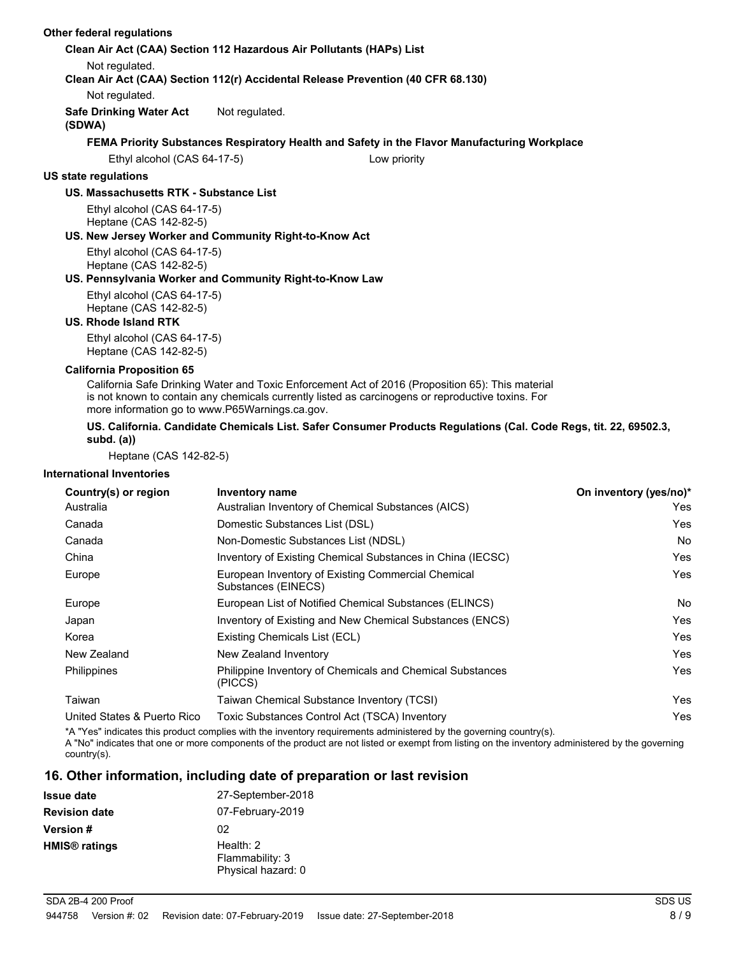#### **Other federal regulations**

#### **Clean Air Act (CAA) Section 112 Hazardous Air Pollutants (HAPs) List**

Not regulated.

**Clean Air Act (CAA) Section 112(r) Accidental Release Prevention (40 CFR 68.130)**

Not regulated.

**Safe Drinking Water Act** Not regulated.

**(SDWA)**

#### **FEMA Priority Substances Respiratory Health and Safety in the Flavor Manufacturing Workplace**

Ethyl alcohol (CAS 64-17-5) Low priority

### **US state regulations**

## **US. Massachusetts RTK - Substance List**

Ethyl alcohol (CAS 64-17-5) Heptane (CAS 142-82-5)

#### **US. New Jersey Worker and Community Right-to-Know Act**

Ethyl alcohol (CAS 64-17-5) Heptane (CAS 142-82-5)

#### **US. Pennsylvania Worker and Community Right-to-Know Law**

Ethyl alcohol (CAS 64-17-5) Heptane (CAS 142-82-5)

#### **US. Rhode Island RTK**

Ethyl alcohol (CAS 64-17-5) Heptane (CAS 142-82-5)

#### **California Proposition 65**

California Safe Drinking Water and Toxic Enforcement Act of 2016 (Proposition 65): This material is not known to contain any chemicals currently listed as carcinogens or reproductive toxins. For more information go to www.P65Warnings.ca.gov.

#### **US. California. Candidate Chemicals List. Safer Consumer Products Regulations (Cal. Code Regs, tit. 22, 69502.3, subd. (a))**

Heptane (CAS 142-82-5)

#### **International Inventories**

| Country(s) or region        | Inventory name                                                              | On inventory (yes/no)* |
|-----------------------------|-----------------------------------------------------------------------------|------------------------|
| Australia                   | Australian Inventory of Chemical Substances (AICS)                          | Yes                    |
| Canada                      | Domestic Substances List (DSL)                                              | Yes                    |
| Canada                      | Non-Domestic Substances List (NDSL)                                         | No                     |
| China                       | Inventory of Existing Chemical Substances in China (IECSC)                  | Yes                    |
| Europe                      | European Inventory of Existing Commercial Chemical<br>Substances (EINECS)   | Yes                    |
| Europe                      | European List of Notified Chemical Substances (ELINCS)                      | No                     |
| Japan                       | Inventory of Existing and New Chemical Substances (ENCS)                    | Yes                    |
| Korea                       | Existing Chemicals List (ECL)                                               | Yes                    |
| New Zealand                 | New Zealand Inventory                                                       | Yes                    |
| Philippines                 | <b>Philippine Inventory of Chemicals and Chemical Substances</b><br>(PICCS) | Yes                    |
| Taiwan                      | Taiwan Chemical Substance Inventory (TCSI)                                  | Yes                    |
| United States & Puerto Rico | Toxic Substances Control Act (TSCA) Inventory                               | Yes                    |

\*A "Yes" indicates this product complies with the inventory requirements administered by the governing country(s).

A "No" indicates that one or more components of the product are not listed or exempt from listing on the inventory administered by the governing country(s).

# **16. Other information, including date of preparation or last revision**

| <b>Issue date</b>               | 27-September-2018                                    |
|---------------------------------|------------------------------------------------------|
| <b>Revision date</b>            | 07-February-2019                                     |
| <b>Version #</b>                | 02                                                   |
| <b>HMIS<sup>®</sup></b> ratings | Health: $2$<br>Flammability: 3<br>Physical hazard: 0 |